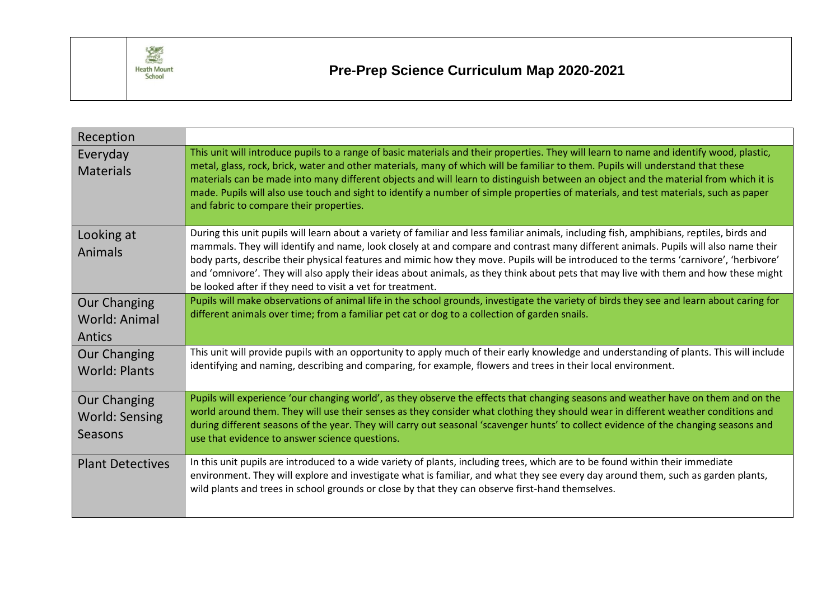

## **Pre-Prep Science Curriculum Map 2020-2021**

| Reception                                               |                                                                                                                                                                                                                                                                                                                                                                                                                                                                                                                                                                                                                                |
|---------------------------------------------------------|--------------------------------------------------------------------------------------------------------------------------------------------------------------------------------------------------------------------------------------------------------------------------------------------------------------------------------------------------------------------------------------------------------------------------------------------------------------------------------------------------------------------------------------------------------------------------------------------------------------------------------|
| Everyday<br><b>Materials</b>                            | This unit will introduce pupils to a range of basic materials and their properties. They will learn to name and identify wood, plastic,<br>metal, glass, rock, brick, water and other materials, many of which will be familiar to them. Pupils will understand that these<br>materials can be made into many different objects and will learn to distinguish between an object and the material from which it is<br>made. Pupils will also use touch and sight to identify a number of simple properties of materials, and test materials, such as paper<br>and fabric to compare their properties.                           |
| Looking at<br><b>Animals</b>                            | During this unit pupils will learn about a variety of familiar and less familiar animals, including fish, amphibians, reptiles, birds and<br>mammals. They will identify and name, look closely at and compare and contrast many different animals. Pupils will also name their<br>body parts, describe their physical features and mimic how they move. Pupils will be introduced to the terms 'carnivore', 'herbivore'<br>and 'omnivore'. They will also apply their ideas about animals, as they think about pets that may live with them and how these might<br>be looked after if they need to visit a vet for treatment. |
| <b>Our Changing</b><br>World: Animal<br>Antics          | Pupils will make observations of animal life in the school grounds, investigate the variety of birds they see and learn about caring for<br>different animals over time; from a familiar pet cat or dog to a collection of garden snails.                                                                                                                                                                                                                                                                                                                                                                                      |
| <b>Our Changing</b><br><b>World: Plants</b>             | This unit will provide pupils with an opportunity to apply much of their early knowledge and understanding of plants. This will include<br>identifying and naming, describing and comparing, for example, flowers and trees in their local environment.                                                                                                                                                                                                                                                                                                                                                                        |
| <b>Our Changing</b><br><b>World: Sensing</b><br>Seasons | Pupils will experience 'our changing world', as they observe the effects that changing seasons and weather have on them and on the<br>world around them. They will use their senses as they consider what clothing they should wear in different weather conditions and<br>during different seasons of the year. They will carry out seasonal 'scavenger hunts' to collect evidence of the changing seasons and<br>use that evidence to answer science questions.                                                                                                                                                              |
| <b>Plant Detectives</b>                                 | In this unit pupils are introduced to a wide variety of plants, including trees, which are to be found within their immediate<br>environment. They will explore and investigate what is familiar, and what they see every day around them, such as garden plants,<br>wild plants and trees in school grounds or close by that they can observe first-hand themselves.                                                                                                                                                                                                                                                          |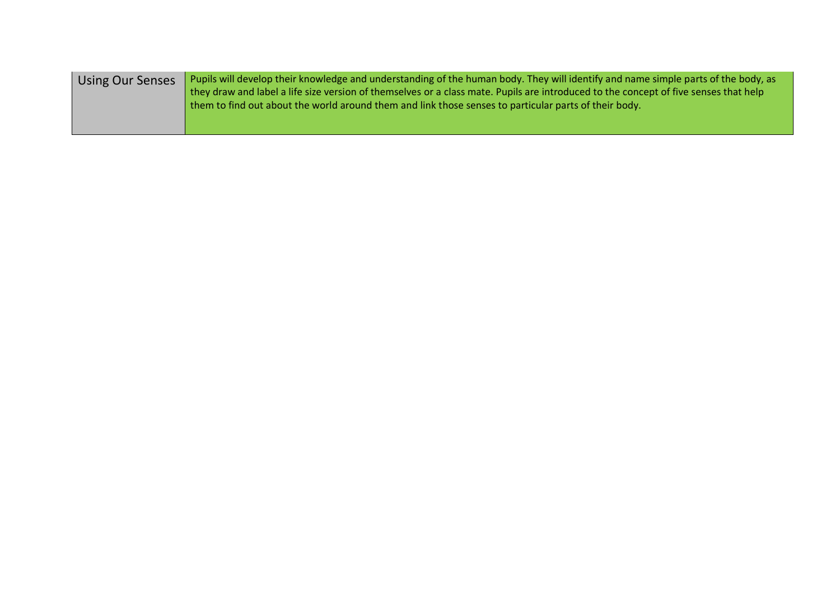| <b>Using Our Senses</b> | Pupils will develop their knowledge and understanding of the human body. They will identify and name simple parts of the body, as<br>they draw and label a life size version of themselves or a class mate. Pupils are introduced to the concept of five senses that help |
|-------------------------|---------------------------------------------------------------------------------------------------------------------------------------------------------------------------------------------------------------------------------------------------------------------------|
|                         | I them to find out about the world around them and link those senses to particular parts of their body.                                                                                                                                                                   |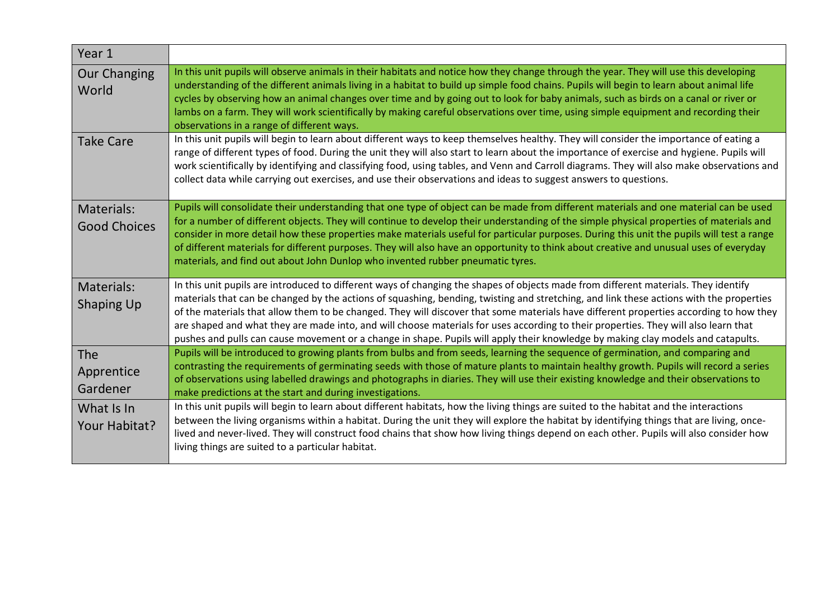| Year 1                            |                                                                                                                                                                                                                                                                                                                                                                                                                                                                                                                                                                                                                                                                                                     |
|-----------------------------------|-----------------------------------------------------------------------------------------------------------------------------------------------------------------------------------------------------------------------------------------------------------------------------------------------------------------------------------------------------------------------------------------------------------------------------------------------------------------------------------------------------------------------------------------------------------------------------------------------------------------------------------------------------------------------------------------------------|
| <b>Our Changing</b><br>World      | In this unit pupils will observe animals in their habitats and notice how they change through the year. They will use this developing<br>understanding of the different animals living in a habitat to build up simple food chains. Pupils will begin to learn about animal life<br>cycles by observing how an animal changes over time and by going out to look for baby animals, such as birds on a canal or river or<br>lambs on a farm. They will work scientifically by making careful observations over time, using simple equipment and recording their<br>observations in a range of different ways.                                                                                        |
| <b>Take Care</b>                  | In this unit pupils will begin to learn about different ways to keep themselves healthy. They will consider the importance of eating a<br>range of different types of food. During the unit they will also start to learn about the importance of exercise and hygiene. Pupils will<br>work scientifically by identifying and classifying food, using tables, and Venn and Carroll diagrams. They will also make observations and<br>collect data while carrying out exercises, and use their observations and ideas to suggest answers to questions.                                                                                                                                               |
| Materials:<br><b>Good Choices</b> | Pupils will consolidate their understanding that one type of object can be made from different materials and one material can be used<br>for a number of different objects. They will continue to develop their understanding of the simple physical properties of materials and<br>consider in more detail how these properties make materials useful for particular purposes. During this unit the pupils will test a range<br>of different materials for different purposes. They will also have an opportunity to think about creative and unusual uses of everyday<br>materials, and find out about John Dunlop who invented rubber pneumatic tyres.                                           |
| Materials:<br><b>Shaping Up</b>   | In this unit pupils are introduced to different ways of changing the shapes of objects made from different materials. They identify<br>materials that can be changed by the actions of squashing, bending, twisting and stretching, and link these actions with the properties<br>of the materials that allow them to be changed. They will discover that some materials have different properties according to how they<br>are shaped and what they are made into, and will choose materials for uses according to their properties. They will also learn that<br>pushes and pulls can cause movement or a change in shape. Pupils will apply their knowledge by making clay models and catapults. |
| The<br>Apprentice<br>Gardener     | Pupils will be introduced to growing plants from bulbs and from seeds, learning the sequence of germination, and comparing and<br>contrasting the requirements of germinating seeds with those of mature plants to maintain healthy growth. Pupils will record a series<br>of observations using labelled drawings and photographs in diaries. They will use their existing knowledge and their observations to<br>make predictions at the start and during investigations.                                                                                                                                                                                                                         |
| What Is In<br>Your Habitat?       | In this unit pupils will begin to learn about different habitats, how the living things are suited to the habitat and the interactions<br>between the living organisms within a habitat. During the unit they will explore the habitat by identifying things that are living, once-<br>lived and never-lived. They will construct food chains that show how living things depend on each other. Pupils will also consider how<br>living things are suited to a particular habitat.                                                                                                                                                                                                                  |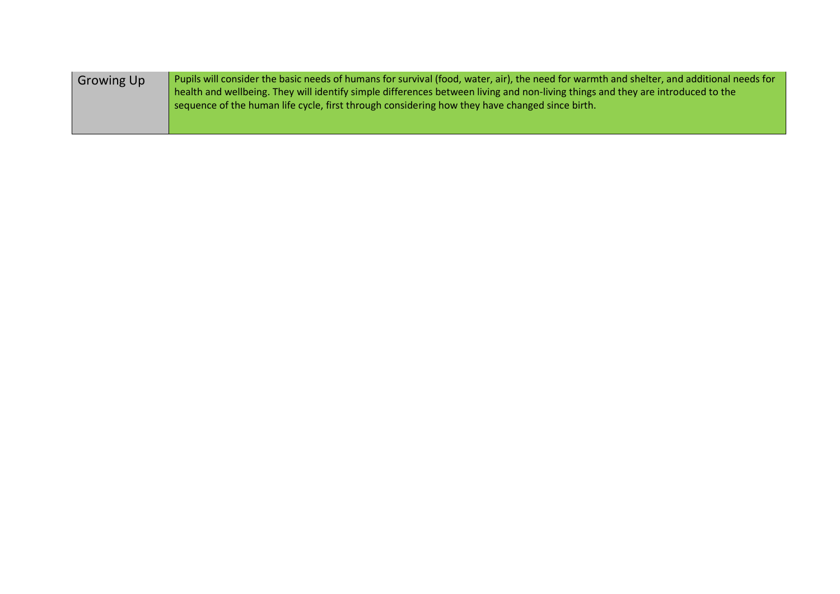| <b>Growing Up</b> | Pupils will consider the basic needs of humans for survival (food, water, air), the need for warmth and shelter, and additional needs for |
|-------------------|-------------------------------------------------------------------------------------------------------------------------------------------|
|                   | health and wellbeing. They will identify simple differences between living and non-living things and they are introduced to the           |
|                   | sequence of the human life cycle, first through considering how they have changed since birth.                                            |
|                   |                                                                                                                                           |
|                   |                                                                                                                                           |